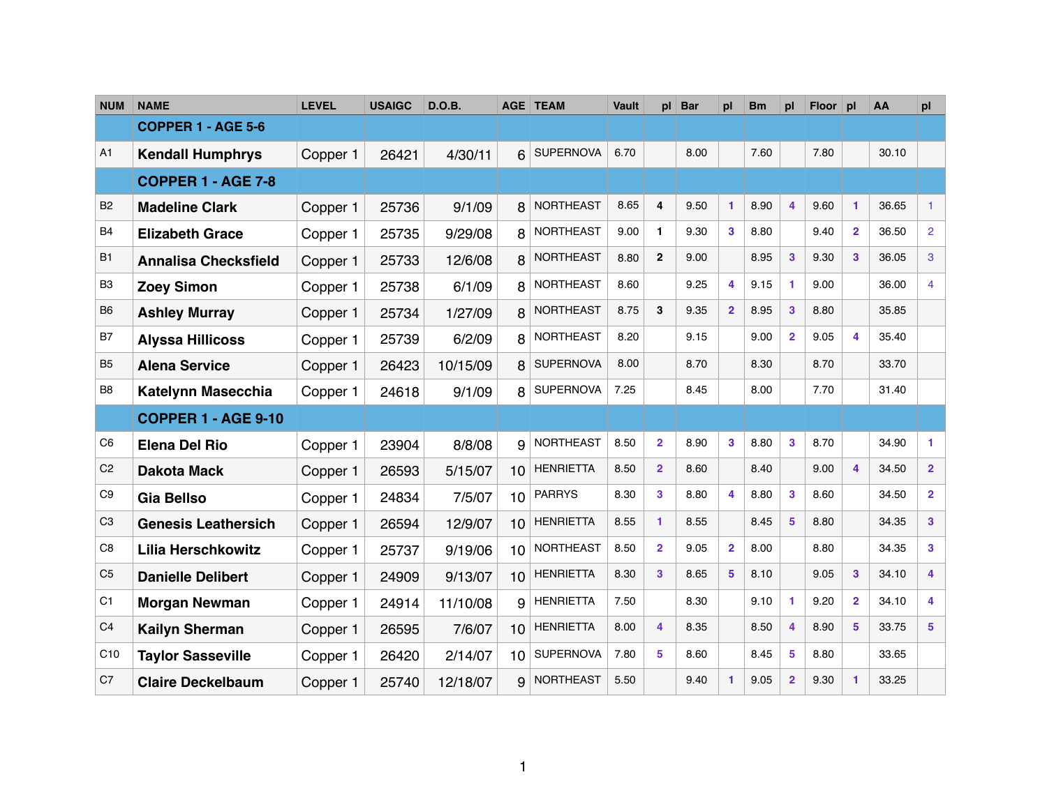| <b>NUM</b>      | <b>NAME</b>                 | <b>LEVEL</b> | <b>USAIGC</b> | <b>D.O.B.</b> |                 | <b>AGE TEAM</b>  | <b>Vault</b> | pl             | Bar  | pl                   | <b>Bm</b> | pl                      | Floor pl |                         | AA    | pl                      |
|-----------------|-----------------------------|--------------|---------------|---------------|-----------------|------------------|--------------|----------------|------|----------------------|-----------|-------------------------|----------|-------------------------|-------|-------------------------|
|                 | <b>COPPER 1 - AGE 5-6</b>   |              |               |               |                 |                  |              |                |      |                      |           |                         |          |                         |       |                         |
| A1              | <b>Kendall Humphrys</b>     | Copper 1     | 26421         | 4/30/11       | 6               | <b>SUPERNOVA</b> | 6.70         |                | 8.00 |                      | 7.60      |                         | 7.80     |                         | 30.10 |                         |
|                 | <b>COPPER 1 - AGE 7-8</b>   |              |               |               |                 |                  |              |                |      |                      |           |                         |          |                         |       |                         |
| <b>B2</b>       | <b>Madeline Clark</b>       | Copper 1     | 25736         | 9/1/09        | 8               | <b>NORTHEAST</b> | 8.65         | 4              | 9.50 | 1                    | 8.90      | $\overline{\mathbf{4}}$ | 9.60     | 1                       | 36.65 | $\mathbf{1}$            |
| <b>B4</b>       | <b>Elizabeth Grace</b>      | Copper 1     | 25735         | 9/29/08       | 8               | <b>NORTHEAST</b> | 9.00         | $\mathbf{1}$   | 9.30 | $\mathbf{3}$         | 8.80      |                         | 9.40     | $\overline{2}$          | 36.50 | $\overline{2}$          |
| <b>B1</b>       | <b>Annalisa Checksfield</b> | Copper 1     | 25733         | 12/6/08       | 8               | <b>NORTHEAST</b> | 8.80         | $\overline{2}$ | 9.00 |                      | 8.95      | 3                       | 9.30     | 3                       | 36.05 | 3                       |
| B <sub>3</sub>  | <b>Zoey Simon</b>           | Copper 1     | 25738         | 6/1/09        | 8               | <b>NORTHEAST</b> | 8.60         |                | 9.25 | 4                    | 9.15      | 1                       | 9.00     |                         | 36.00 | $\overline{4}$          |
| B <sub>6</sub>  | <b>Ashley Murray</b>        | Copper 1     | 25734         | 1/27/09       | 8               | <b>NORTHEAST</b> | 8.75         | 3              | 9.35 | 2 <sup>1</sup>       | 8.95      | 3                       | 8.80     |                         | 35.85 |                         |
| B7              | <b>Alyssa Hillicoss</b>     | Copper 1     | 25739         | 6/2/09        | 8               | <b>NORTHEAST</b> | 8.20         |                | 9.15 |                      | 9.00      | $\overline{2}$          | 9.05     | 4                       | 35.40 |                         |
| <b>B5</b>       | <b>Alena Service</b>        | Copper 1     | 26423         | 10/15/09      | 8               | <b>SUPERNOVA</b> | 8.00         |                | 8.70 |                      | 8.30      |                         | 8.70     |                         | 33.70 |                         |
| B <sub>8</sub>  | <b>Katelynn Masecchia</b>   | Copper 1     | 24618         | 9/1/09        | 8               | <b>SUPERNOVA</b> | 7.25         |                | 8.45 |                      | 8.00      |                         | 7.70     |                         | 31.40 |                         |
|                 | <b>COPPER 1 - AGE 9-10</b>  |              |               |               |                 |                  |              |                |      |                      |           |                         |          |                         |       |                         |
| C <sub>6</sub>  | <b>Elena Del Rio</b>        | Copper 1     | 23904         | 8/8/08        | 9               | <b>NORTHEAST</b> | 8.50         | $\overline{2}$ | 8.90 | $\mathbf{3}$         | 8.80      | 3                       | 8.70     |                         | 34.90 | 1.                      |
| C <sub>2</sub>  | <b>Dakota Mack</b>          | Copper 1     | 26593         | 5/15/07       | 10              | <b>HENRIETTA</b> | 8.50         | $\overline{2}$ | 8.60 |                      | 8.40      |                         | 9.00     | 4                       | 34.50 | $\overline{2}$          |
| C <sub>9</sub>  | <b>Gia Bellso</b>           | Copper 1     | 24834         | 7/5/07        | 10 <sup>1</sup> | <b>PARRYS</b>    | 8.30         | $\mathbf{3}$   | 8.80 | 4                    | 8.80      | 3                       | 8.60     |                         | 34.50 | $\overline{2}$          |
| C <sub>3</sub>  | <b>Genesis Leathersich</b>  | Copper 1     | 26594         | 12/9/07       | 10 <sup>1</sup> | <b>HENRIETTA</b> | 8.55         | $\mathbf{1}$   | 8.55 |                      | 8.45      | $5\phantom{1}$          | 8.80     |                         | 34.35 | $\mathbf{3}$            |
| C <sub>8</sub>  | <b>Lilia Herschkowitz</b>   | Copper 1     | 25737         | 9/19/06       | 10              | <b>NORTHEAST</b> | 8.50         | $\mathbf{2}$   | 9.05 | $\overline{2}$       | 8.00      |                         | 8.80     |                         | 34.35 | $\mathbf{3}$            |
| C <sub>5</sub>  | <b>Danielle Delibert</b>    | Copper 1     | 24909         | 9/13/07       | 10              | <b>HENRIETTA</b> | 8.30         | 3              | 8.65 | 5                    | 8.10      |                         | 9.05     | 3                       | 34.10 | 4                       |
| C <sub>1</sub>  | <b>Morgan Newman</b>        | Copper 1     | 24914         | 11/10/08      | 9               | <b>HENRIETTA</b> | 7.50         |                | 8.30 |                      | 9.10      | 1                       | 9.20     | $\overline{2}$          | 34.10 | 4                       |
| C <sub>4</sub>  | <b>Kailyn Sherman</b>       | Copper 1     | 26595         | 7/6/07        | 10 <sup>1</sup> | <b>HENRIETTA</b> | 8.00         | 4              | 8.35 |                      | 8.50      | $\overline{\mathbf{4}}$ | 8.90     | $\overline{\mathbf{5}}$ | 33.75 | $\overline{\mathbf{5}}$ |
| C <sub>10</sub> | <b>Taylor Sasseville</b>    | Copper 1     | 26420         | 2/14/07       | 10              | <b>SUPERNOVA</b> | 7.80         | 5              | 8.60 |                      | 8.45      | 5                       | 8.80     |                         | 33.65 |                         |
| C7              | <b>Claire Deckelbaum</b>    | Copper 1     | 25740         | 12/18/07      | 9               | <b>NORTHEAST</b> | 5.50         |                | 9.40 | $\blacktriangleleft$ | 9.05      | $\overline{2}$          | 9.30     | 1                       | 33.25 |                         |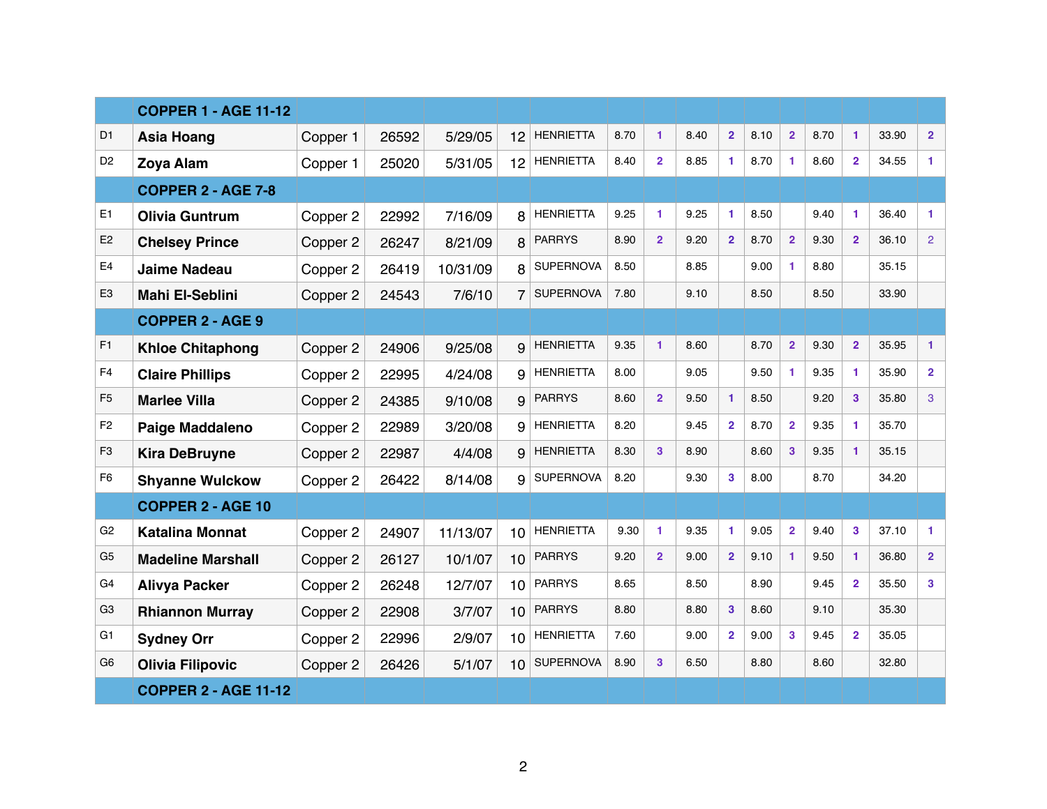|                | <b>COPPER 1 - AGE 11-12</b> |          |       |          |                 |                  |      |                      |      |                |      |                |      |                         |       |                |
|----------------|-----------------------------|----------|-------|----------|-----------------|------------------|------|----------------------|------|----------------|------|----------------|------|-------------------------|-------|----------------|
| D <sub>1</sub> | <b>Asia Hoang</b>           | Copper 1 | 26592 | 5/29/05  | 12              | <b>HENRIETTA</b> | 8.70 | $\blacktriangleleft$ | 8.40 | 2 <sup>1</sup> | 8.10 | $\overline{2}$ | 8.70 | $\mathbf{1}$            | 33.90 | 2 <sup>1</sup> |
| D <sub>2</sub> | <b>Zoya Alam</b>            | Copper 1 | 25020 | 5/31/05  | 12              | <b>HENRIETTA</b> | 8.40 | $\overline{2}$       | 8.85 | 1.             | 8.70 | 1              | 8.60 | $\overline{2}$          | 34.55 | $\mathbf{1}$   |
|                | <b>COPPER 2 - AGE 7-8</b>   |          |       |          |                 |                  |      |                      |      |                |      |                |      |                         |       |                |
| E <sub>1</sub> | <b>Olivia Guntrum</b>       | Copper 2 | 22992 | 7/16/09  | 8               | <b>HENRIETTA</b> | 9.25 | $\mathbf{1}$         | 9.25 | 1.             | 8.50 |                | 9.40 | 1.                      | 36.40 | $\mathbf{1}$   |
| E <sub>2</sub> | <b>Chelsey Prince</b>       | Copper 2 | 26247 | 8/21/09  | 8               | <b>PARRYS</b>    | 8.90 | $\overline{2}$       | 9.20 | 2 <sup>1</sup> | 8.70 | $\overline{2}$ | 9.30 | $\overline{2}$          | 36.10 | 2 <sup>1</sup> |
| E <sub>4</sub> | <b>Jaime Nadeau</b>         | Copper 2 | 26419 | 10/31/09 | 8               | <b>SUPERNOVA</b> | 8.50 |                      | 8.85 |                | 9.00 | 1              | 8.80 |                         | 35.15 |                |
| E <sub>3</sub> | <b>Mahi El-Seblini</b>      | Copper 2 | 24543 | 7/6/10   | 7               | <b>SUPERNOVA</b> | 7.80 |                      | 9.10 |                | 8.50 |                | 8.50 |                         | 33.90 |                |
|                | <b>COPPER 2 - AGE 9</b>     |          |       |          |                 |                  |      |                      |      |                |      |                |      |                         |       |                |
| F <sub>1</sub> | <b>Khloe Chitaphong</b>     | Copper 2 | 24906 | 9/25/08  | 9               | <b>HENRIETTA</b> | 9.35 |                      | 8.60 |                | 8.70 | $\overline{2}$ | 9.30 | $\overline{2}$          | 35.95 | $\mathbf{1}$   |
| F <sub>4</sub> | <b>Claire Phillips</b>      | Copper 2 | 22995 | 4/24/08  | 9               | <b>HENRIETTA</b> | 8.00 |                      | 9.05 |                | 9.50 | 1              | 9.35 |                         | 35.90 | $\overline{2}$ |
| F <sub>5</sub> | <b>Marlee Villa</b>         | Copper 2 | 24385 | 9/10/08  | 9               | <b>PARRYS</b>    | 8.60 | $\overline{2}$       | 9.50 |                | 8.50 |                | 9.20 | 3                       | 35.80 | 3              |
| F <sub>2</sub> | <b>Paige Maddaleno</b>      | Copper 2 | 22989 | 3/20/08  | 9               | <b>HENRIETTA</b> | 8.20 |                      | 9.45 | $\mathbf{2}$   | 8.70 | $\overline{2}$ | 9.35 |                         | 35.70 |                |
| F <sub>3</sub> | <b>Kira DeBruyne</b>        | Copper 2 | 22987 | 4/4/08   | 9               | <b>HENRIETTA</b> | 8.30 | 3                    | 8.90 |                | 8.60 | 3              | 9.35 |                         | 35.15 |                |
| F <sub>6</sub> | <b>Shyanne Wulckow</b>      | Copper 2 | 26422 | 8/14/08  | 9               | <b>SUPERNOVA</b> | 8.20 |                      | 9.30 | 3              | 8.00 |                | 8.70 |                         | 34.20 |                |
|                | <b>COPPER 2 - AGE 10</b>    |          |       |          |                 |                  |      |                      |      |                |      |                |      |                         |       |                |
| G <sub>2</sub> | <b>Katalina Monnat</b>      | Copper 2 | 24907 | 11/13/07 | 10              | <b>HENRIETTA</b> | 9.30 | $\blacktriangleleft$ | 9.35 | 1.             | 9.05 | $\overline{2}$ | 9.40 | $\mathbf{3}$            | 37.10 | $\mathbf{1}$   |
| G <sub>5</sub> | <b>Madeline Marshall</b>    | Copper 2 | 26127 | 10/1/07  | 10              | <b>PARRYS</b>    | 9.20 | $\overline{2}$       | 9.00 | 2 <sup>1</sup> | 9.10 | 1              | 9.50 |                         | 36.80 | $\overline{2}$ |
| G4             | <b>Alivya Packer</b>        | Copper 2 | 26248 | 12/7/07  |                 | $10$ PARRYS      | 8.65 |                      | 8.50 |                | 8.90 |                | 9.45 | $\overline{\mathbf{2}}$ | 35.50 | 3              |
| G <sub>3</sub> | <b>Rhiannon Murray</b>      | Copper 2 | 22908 | 3/7/07   |                 | 10 PARRYS        | 8.80 |                      | 8.80 | 3 <sup>1</sup> | 8.60 |                | 9.10 |                         | 35.30 |                |
| G <sub>1</sub> | <b>Sydney Orr</b>           | Copper 2 | 22996 | 2/9/07   | 10 <sup>1</sup> | <b>HENRIETTA</b> | 7.60 |                      | 9.00 | 2 <sup>1</sup> | 9.00 | $\mathbf{3}$   | 9.45 | $\overline{2}$          | 35.05 |                |
| G <sub>6</sub> | <b>Olivia Filipovic</b>     | Copper 2 | 26426 | 5/1/07   | 10 <sup>1</sup> | <b>SUPERNOVA</b> | 8.90 | $\mathbf{3}$         | 6.50 |                | 8.80 |                | 8.60 |                         | 32.80 |                |
|                | <b>COPPER 2 - AGE 11-12</b> |          |       |          |                 |                  |      |                      |      |                |      |                |      |                         |       |                |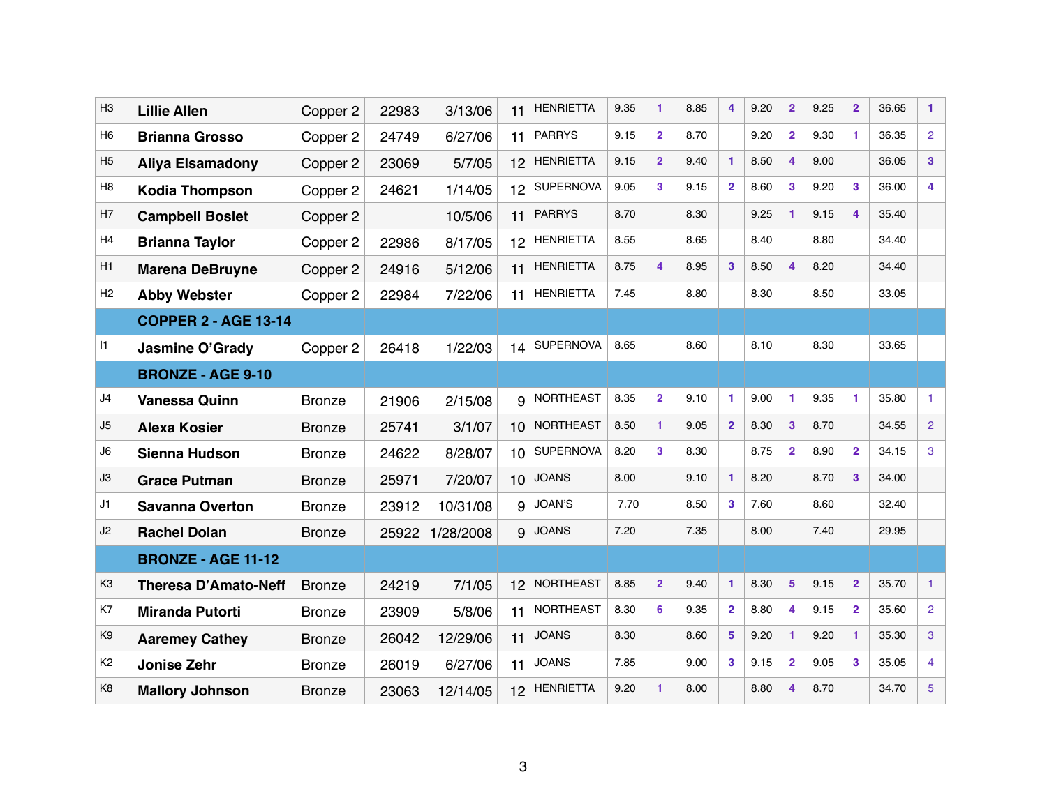| H <sub>3</sub> | <b>Lillie Allen</b>         | Copper 2      | 22983 | 3/13/06   | 11              | <b>HENRIETTA</b> | 9.35 |                 | 8.85                   | 4              | 9.20 | $\overline{2}$ | 9.25 | $\overline{2}$ | 36.65 | 1.              |
|----------------|-----------------------------|---------------|-------|-----------|-----------------|------------------|------|-----------------|------------------------|----------------|------|----------------|------|----------------|-------|-----------------|
| H <sub>6</sub> | <b>Brianna Grosso</b>       | Copper 2      | 24749 | 6/27/06   | 11              | <b>PARRYS</b>    | 9.15 | $\overline{2}$  | 8.70                   |                | 9.20 | $\overline{2}$ | 9.30 |                | 36.35 | $\overline{2}$  |
| H <sub>5</sub> | <b>Aliya Elsamadony</b>     | Copper 2      | 23069 | 5/7/05    | 12              | <b>HENRIETTA</b> | 9.15 | $\overline{2}$  | 9.40                   | 1              | 8.50 | 4              | 9.00 |                | 36.05 | 3 <sup>1</sup>  |
| H <sub>8</sub> | <b>Kodia Thompson</b>       | Copper 2      | 24621 | 1/14/05   | 12              | <b>SUPERNOVA</b> | 9.05 | $\mathbf{3}$    | 9.15                   | 2 <sup>1</sup> | 8.60 | 3              | 9.20 | 3              | 36.00 | 4               |
| H <sub>7</sub> | <b>Campbell Boslet</b>      | Copper 2      |       | 10/5/06   | 11              | <b>PARRYS</b>    | 8.70 |                 | 8.30                   |                | 9.25 | 1              | 9.15 | 4              | 35.40 |                 |
| H <sub>4</sub> | <b>Brianna Taylor</b>       | Copper 2      | 22986 | 8/17/05   | 12              | <b>HENRIETTA</b> | 8.55 |                 | 8.65                   |                | 8.40 |                | 8.80 |                | 34.40 |                 |
| H1             | <b>Marena DeBruyne</b>      | Copper 2      | 24916 | 5/12/06   | 11              | <b>HENRIETTA</b> | 8.75 | $\overline{4}$  | 8.95                   | $\mathbf{3}$   | 8.50 | 4              | 8.20 |                | 34.40 |                 |
| H <sub>2</sub> | <b>Abby Webster</b>         | Copper 2      | 22984 | 7/22/06   | 11              | <b>HENRIETTA</b> | 7.45 |                 | 8.80                   |                | 8.30 |                | 8.50 |                | 33.05 |                 |
|                | <b>COPPER 2 - AGE 13-14</b> |               |       |           |                 |                  |      |                 |                        |                |      |                |      |                |       |                 |
| 1              | <b>Jasmine O'Grady</b>      | Copper 2      | 26418 | 1/22/03   | 14              | <b>SUPERNOVA</b> | 8.65 |                 | 8.60                   |                | 8.10 |                | 8.30 |                | 33.65 |                 |
|                | <b>BRONZE - AGE 9-10</b>    |               |       |           |                 |                  |      |                 |                        |                |      |                |      |                |       |                 |
| J4             | <b>Vanessa Quinn</b>        | <b>Bronze</b> | 21906 | 2/15/08   | 9               | <b>NORTHEAST</b> | 8.35 | $\overline{2}$  | 9.10                   | $\mathbf{1}$   | 9.00 | 1              | 9.35 |                | 35.80 |                 |
| J5             | <b>Alexa Kosier</b>         | <b>Bronze</b> | 25741 | 3/1/07    | 10 <sup>1</sup> | <b>NORTHEAST</b> | 8.50 |                 | 9.05                   | 2 <sup>1</sup> | 8.30 | $\mathbf{3}$   | 8.70 |                | 34.55 | $\overline{2}$  |
| J6             | Sienna Hudson               | <b>Bronze</b> | 24622 | 8/28/07   | 10 <sup>1</sup> | <b>SUPERNOVA</b> | 8.20 | $\mathbf{3}$    | 8.30                   |                | 8.75 | $\overline{2}$ | 8.90 | $\mathbf{2}$   | 34.15 | 3               |
| J3             | <b>Grace Putman</b>         | <b>Bronze</b> | 25971 | 7/20/07   | 10 <sup>1</sup> | <b>JOANS</b>     | 8.00 |                 | 9.10                   | 1              | 8.20 |                | 8.70 | $\mathbf{3}$   | 34.00 |                 |
| J1             | <b>Savanna Overton</b>      | <b>Bronze</b> | 23912 | 10/31/08  | 9               | JOAN'S           | 7.70 |                 | 8.50                   | $\mathbf{3}$   | 7.60 |                | 8.60 |                | 32.40 |                 |
| J2             | <b>Rachel Dolan</b>         | <b>Bronze</b> | 25922 | 1/28/2008 | 9               | <b>JOANS</b>     | 7.20 |                 | 7.35                   |                | 8.00 |                | 7.40 |                | 29.95 |                 |
|                | <b>BRONZE - AGE 11-12</b>   |               |       |           |                 |                  |      |                 |                        |                |      |                |      |                |       |                 |
| K <sub>3</sub> | Theresa D'Amato-Neff        | <b>Bronze</b> | 24219 | 7/1/05    | 12 <sup>2</sup> | NORTHEAST 8.85 2 |      |                 | $9.40$ 1 8.30 5 9.15 2 |                |      |                |      |                | 35.70 |                 |
| K7             | <b>Miranda Putorti</b>      | <b>Bronze</b> | 23909 | 5/8/06    | 11              | <b>NORTHEAST</b> | 8.30 | $6\phantom{1}6$ | 9.35                   | 2 <sup>1</sup> | 8.80 | 4              | 9.15 | $\overline{2}$ | 35.60 | $\overline{2}$  |
| K <sub>9</sub> | <b>Aaremey Cathey</b>       | <b>Bronze</b> | 26042 | 12/29/06  | 11              | <b>JOANS</b>     | 8.30 |                 | 8.60                   | 5              | 9.20 | 1              | 9.20 |                | 35.30 | 3               |
| K <sub>2</sub> | <b>Jonise Zehr</b>          | <b>Bronze</b> | 26019 | 6/27/06   | 11              | <b>JOANS</b>     | 7.85 |                 | 9.00                   | 3              | 9.15 | $\overline{2}$ | 9.05 | 3              | 35.05 | 4               |
| K <sub>8</sub> | <b>Mallory Johnson</b>      | <b>Bronze</b> | 23063 | 12/14/05  | 12              | <b>HENRIETTA</b> | 9.20 |                 | 8.00                   |                | 8.80 | 4              | 8.70 |                | 34.70 | $5\phantom{.0}$ |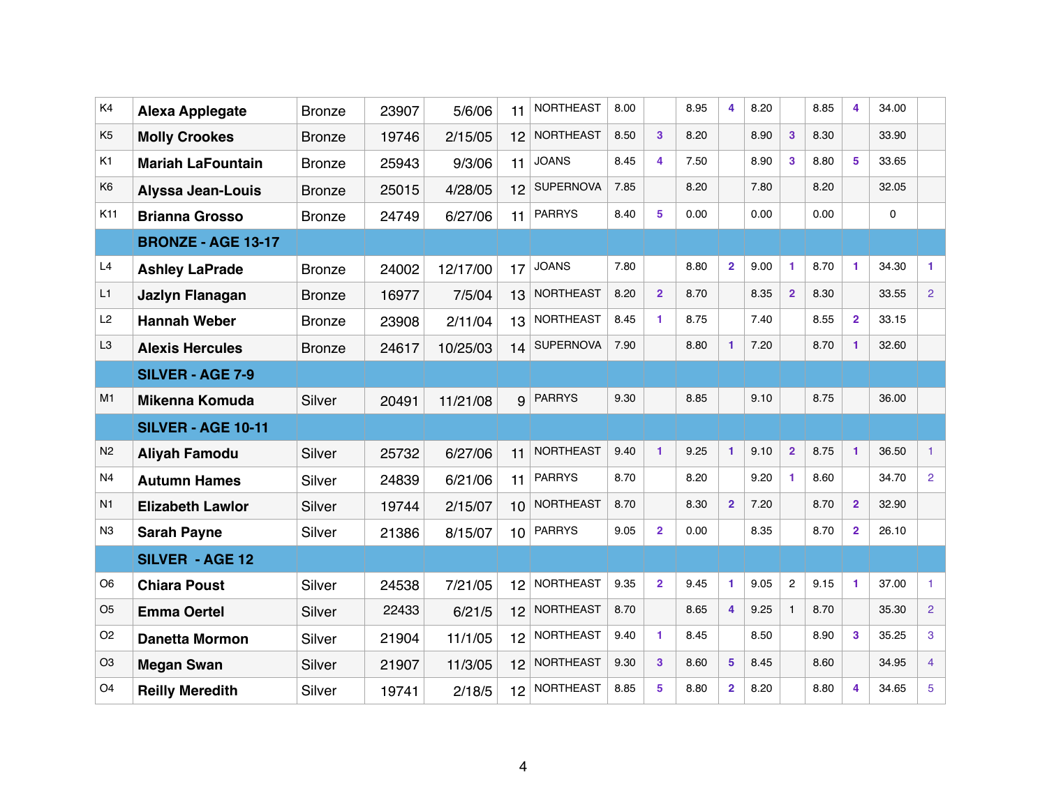| K4              | <b>Alexa Applegate</b>    | <b>Bronze</b> | 23907 | 5/6/06   | 11              | <b>NORTHEAST</b> | 8.00 |                      | 8.95     | 4              | 8.20 |                         | 8.85          | 4              | 34.00 |                |
|-----------------|---------------------------|---------------|-------|----------|-----------------|------------------|------|----------------------|----------|----------------|------|-------------------------|---------------|----------------|-------|----------------|
| K <sub>5</sub>  | <b>Molly Crookes</b>      | <b>Bronze</b> | 19746 | 2/15/05  | 12              | <b>NORTHEAST</b> | 8.50 | $\mathbf{3}$         | 8.20     |                | 8.90 | $\mathbf{3}$            | 8.30          |                | 33.90 |                |
| K <sub>1</sub>  | <b>Mariah LaFountain</b>  | <b>Bronze</b> | 25943 | 9/3/06   | 11              | <b>JOANS</b>     | 8.45 | 4                    | 7.50     |                | 8.90 | $\mathbf{3}$            | 8.80          | 5              | 33.65 |                |
| K <sub>6</sub>  | <b>Alyssa Jean-Louis</b>  | <b>Bronze</b> | 25015 | 4/28/05  | 12              | <b>SUPERNOVA</b> | 7.85 |                      | 8.20     |                | 7.80 |                         | 8.20          |                | 32.05 |                |
| K <sub>11</sub> | <b>Brianna Grosso</b>     | <b>Bronze</b> | 24749 | 6/27/06  | 11              | <b>PARRYS</b>    | 8.40 | 5                    | 0.00     |                | 0.00 |                         | 0.00          |                | 0     |                |
|                 | <b>BRONZE - AGE 13-17</b> |               |       |          |                 |                  |      |                      |          |                |      |                         |               |                |       |                |
| L4              | <b>Ashley LaPrade</b>     | <b>Bronze</b> | 24002 | 12/17/00 | 17              | <b>JOANS</b>     | 7.80 |                      | 8.80     | $\overline{2}$ | 9.00 | 1                       | 8.70          | 1              | 34.30 | 1.             |
| L1              | Jazlyn Flanagan           | <b>Bronze</b> | 16977 | 7/5/04   | 13              | <b>NORTHEAST</b> | 8.20 | $\overline{2}$       | 8.70     |                | 8.35 | $\overline{\mathbf{2}}$ | 8.30          |                | 33.55 | $\overline{2}$ |
| L2              | <b>Hannah Weber</b>       | <b>Bronze</b> | 23908 | 2/11/04  | 13              | <b>NORTHEAST</b> | 8.45 |                      | 8.75     |                | 7.40 |                         | 8.55          | $\mathbf{2}$   | 33.15 |                |
| L <sub>3</sub>  | <b>Alexis Hercules</b>    | <b>Bronze</b> | 24617 | 10/25/03 | 14              | <b>SUPERNOVA</b> | 7.90 |                      | 8.80     |                | 7.20 |                         | 8.70          |                | 32.60 |                |
|                 | <b>SILVER - AGE 7-9</b>   |               |       |          |                 |                  |      |                      |          |                |      |                         |               |                |       |                |
| M1              | <b>Mikenna Komuda</b>     | <b>Silver</b> | 20491 | 11/21/08 | 9               | <b>PARRYS</b>    | 9.30 |                      | 8.85     |                | 9.10 |                         | 8.75          |                | 36.00 |                |
|                 | <b>SILVER - AGE 10-11</b> |               |       |          |                 |                  |      |                      |          |                |      |                         |               |                |       |                |
| N <sub>2</sub>  | <b>Aliyah Famodu</b>      | <b>Silver</b> | 25732 | 6/27/06  | 11              | <b>NORTHEAST</b> | 9.40 | $\blacktriangleleft$ | 9.25     | $\mathbf{1}$   | 9.10 | $\overline{2}$          | 8.75          | 1              | 36.50 |                |
| N <sub>4</sub>  | <b>Autumn Hames</b>       | <b>Silver</b> | 24839 | 6/21/06  | 11              | <b>PARRYS</b>    | 8.70 |                      | 8.20     |                | 9.20 | 1                       | 8.60          |                | 34.70 | $\overline{2}$ |
| N <sub>1</sub>  | <b>Elizabeth Lawlor</b>   | Silver        | 19744 | 2/15/07  | 10              | <b>NORTHEAST</b> | 8.70 |                      | 8.30     | $\overline{2}$ | 7.20 |                         | 8.70          | $\overline{2}$ | 32.90 |                |
| N <sub>3</sub>  | <b>Sarah Payne</b>        | Silver        | 21386 | 8/15/07  | 10 <sup>1</sup> | <b>PARRYS</b>    | 9.05 | $\overline{2}$       | 0.00     |                | 8.35 |                         | 8.70          | $\overline{2}$ | 26.10 |                |
|                 | <b>SILVER - AGE 12</b>    |               |       |          |                 |                  |      |                      |          |                |      |                         |               |                |       |                |
| O <sub>6</sub>  | <b>Chiara Poust</b>       | Silver        | 24538 | 7/21/05  | 12              | NORTHEAST 9.35 2 |      |                      | $9.45$ 1 |                |      |                         | $9.05$ 2 9.15 | $\blacksquare$ | 37.00 |                |
| O <sub>5</sub>  | <b>Emma Oertel</b>        | <b>Silver</b> | 22433 | 6/21/5   | 12 <sup>2</sup> | NORTHEAST        | 8.70 |                      | 8.65     | $\overline{4}$ | 9.25 | $\mathbf{1}$            | 8.70          |                | 35.30 | $\overline{2}$ |
| O <sub>2</sub>  | <b>Danetta Mormon</b>     | Silver        | 21904 | 11/1/05  | 12              | NORTHEAST        | 9.40 | $\blacktriangleleft$ | 8.45     |                | 8.50 |                         | 8.90          | $\mathbf{3}$   | 35.25 | 3              |
| O <sub>3</sub>  | <b>Megan Swan</b>         | Silver        | 21907 | 11/3/05  | 12              | <b>NORTHEAST</b> | 9.30 | $\mathbf{3}$         | 8.60     | 5 <sup>5</sup> | 8.45 |                         | 8.60          |                | 34.95 | $\overline{4}$ |
| O <sub>4</sub>  | <b>Reilly Meredith</b>    | Silver        | 19741 | 2/18/5   | 12              | <b>NORTHEAST</b> | 8.85 | 5                    | 8.80     | $\overline{2}$ | 8.20 |                         | 8.80          | 4              | 34.65 | 5              |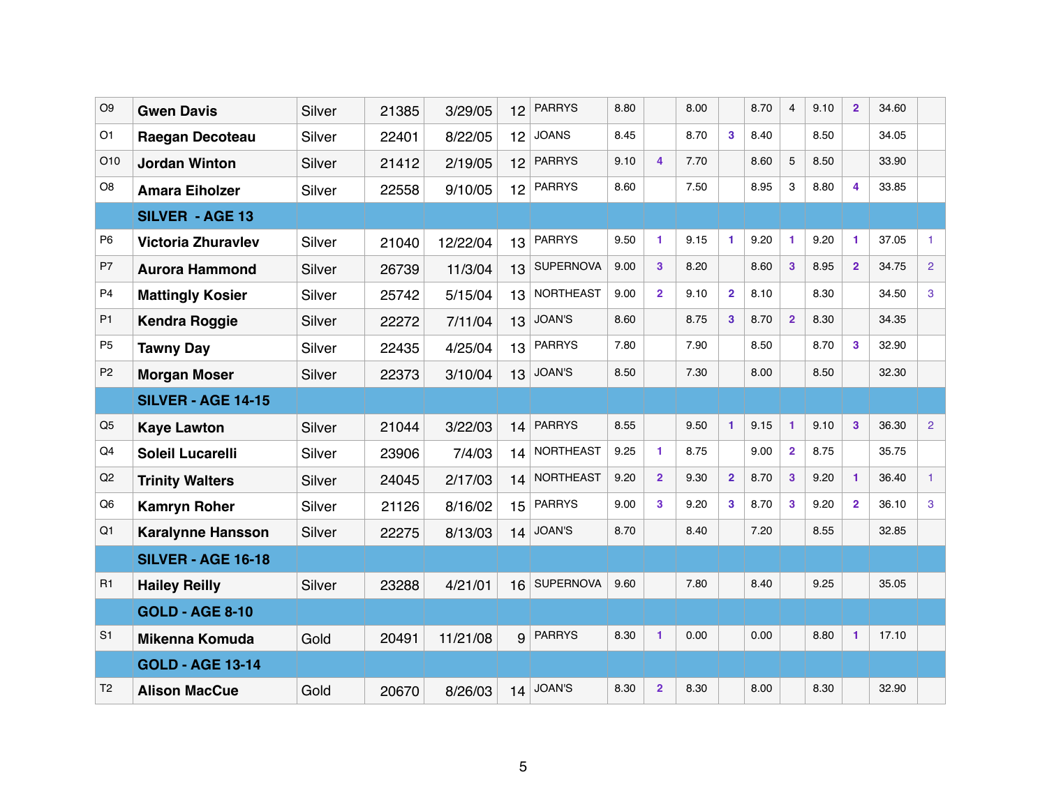| O <sub>9</sub> | <b>Gwen Davis</b>         | <b>Silver</b> | 21385 | 3/29/05  | 12              | <b>PARRYS</b>    | 8.80 |                         | 8.00 |                | 8.70 | $\overline{4}$       | 9.10 | $\overline{2}$ | 34.60 |                |
|----------------|---------------------------|---------------|-------|----------|-----------------|------------------|------|-------------------------|------|----------------|------|----------------------|------|----------------|-------|----------------|
| O <sub>1</sub> | Raegan Decoteau           | <b>Silver</b> | 22401 | 8/22/05  | 12 <sub>2</sub> | <b>JOANS</b>     | 8.45 |                         | 8.70 | 3              | 8.40 |                      | 8.50 |                | 34.05 |                |
| O10            | <b>Jordan Winton</b>      | <b>Silver</b> | 21412 | 2/19/05  | 12 <sup>2</sup> | <b>PARRYS</b>    | 9.10 | $\overline{\mathbf{4}}$ | 7.70 |                | 8.60 | $\overline{5}$       | 8.50 |                | 33.90 |                |
| O <sub>8</sub> | <b>Amara Eiholzer</b>     | Silver        | 22558 | 9/10/05  | 12 <sup>2</sup> | <b>PARRYS</b>    | 8.60 |                         | 7.50 |                | 8.95 | $\mathbf{3}$         | 8.80 | 4              | 33.85 |                |
|                | <b>SILVER - AGE 13</b>    |               |       |          |                 |                  |      |                         |      |                |      |                      |      |                |       |                |
| P <sub>6</sub> | <b>Victoria Zhuravlev</b> | <b>Silver</b> | 21040 | 12/22/04 | 13              | <b>PARRYS</b>    | 9.50 | 1                       | 9.15 |                | 9.20 | $\blacktriangleleft$ | 9.20 | 1              | 37.05 | 1              |
| P7             | <b>Aurora Hammond</b>     | <b>Silver</b> | 26739 | 11/3/04  | 13              | <b>SUPERNOVA</b> | 9.00 | 3                       | 8.20 |                | 8.60 | $\mathbf{3}$         | 8.95 | $\overline{2}$ | 34.75 | $\overline{2}$ |
| P <sub>4</sub> | <b>Mattingly Kosier</b>   | <b>Silver</b> | 25742 | 5/15/04  | 13              | <b>NORTHEAST</b> | 9.00 | $\mathbf{2}$            | 9.10 | $\overline{2}$ | 8.10 |                      | 8.30 |                | 34.50 | 3              |
| P <sub>1</sub> | <b>Kendra Roggie</b>      | Silver        | 22272 | 7/11/04  | 13              | <b>JOAN'S</b>    | 8.60 |                         | 8.75 | 3              | 8.70 | $\overline{2}$       | 8.30 |                | 34.35 |                |
| P <sub>5</sub> | <b>Tawny Day</b>          | Silver        | 22435 | 4/25/04  | 13              | <b>PARRYS</b>    | 7.80 |                         | 7.90 |                | 8.50 |                      | 8.70 | 3              | 32.90 |                |
| P <sub>2</sub> | <b>Morgan Moser</b>       | <b>Silver</b> | 22373 | 3/10/04  | 13              | <b>JOAN'S</b>    | 8.50 |                         | 7.30 |                | 8.00 |                      | 8.50 |                | 32.30 |                |
|                | <b>SILVER - AGE 14-15</b> |               |       |          |                 |                  |      |                         |      |                |      |                      |      |                |       |                |
| Q <sub>5</sub> | <b>Kaye Lawton</b>        | <b>Silver</b> | 21044 | 3/22/03  | 14              | <b>PARRYS</b>    | 8.55 |                         | 9.50 | 1              | 9.15 | $\mathbf{1}$         | 9.10 | $\mathbf{3}$   | 36.30 | $\overline{2}$ |
| Q4             | <b>Soleil Lucarelli</b>   | Silver        | 23906 | 7/4/03   | 14              | <b>NORTHEAST</b> | 9.25 | 1                       | 8.75 |                | 9.00 | $\overline{2}$       | 8.75 |                | 35.75 |                |
| Q2             | <b>Trinity Walters</b>    | <b>Silver</b> | 24045 | 2/17/03  | 14              | <b>NORTHEAST</b> | 9.20 | $\overline{2}$          | 9.30 | $\overline{2}$ | 8.70 | $\mathbf{3}$         | 9.20 |                | 36.40 | 1              |
| Q <sub>6</sub> | <b>Kamryn Roher</b>       | Silver        | 21126 | 8/16/02  | 15              | <b>PARRYS</b>    | 9.00 | 3                       | 9.20 | 3              | 8.70 | $\mathbf{3}$         | 9.20 | $\mathbf{2}$   | 36.10 | 3              |
| Q1             | <b>Karalynne Hansson</b>  | Silver        | 22275 | 8/13/03  | 14              | <b>JOAN'S</b>    | 8.70 |                         | 8.40 |                | 7.20 |                      | 8.55 |                | 32.85 |                |
|                | <b>SILVER - AGE 16-18</b> |               |       |          |                 |                  |      |                         |      |                |      |                      |      |                |       |                |
| R1             | <b>Hailey Reilly</b>      | Silver        | 23288 | 4/21/01  |                 | 16 SUPERNOVA     | 9.60 |                         | 7.80 |                | 8.40 |                      | 9.25 |                | 35.05 |                |
|                | <b>GOLD - AGE 8-10</b>    |               |       |          |                 |                  |      |                         |      |                |      |                      |      |                |       |                |
| S <sub>1</sub> | <b>Mikenna Komuda</b>     | Gold          | 20491 | 11/21/08 | 9               | <b>PARRYS</b>    | 8.30 | 1                       | 0.00 |                | 0.00 |                      | 8.80 | 1              | 17.10 |                |
|                | <b>GOLD - AGE 13-14</b>   |               |       |          |                 |                  |      |                         |      |                |      |                      |      |                |       |                |
| T <sub>2</sub> | <b>Alison MacCue</b>      | Gold          | 20670 | 8/26/03  | 14              | <b>JOAN'S</b>    | 8.30 | $\overline{2}$          | 8.30 |                | 8.00 |                      | 8.30 |                | 32.90 |                |